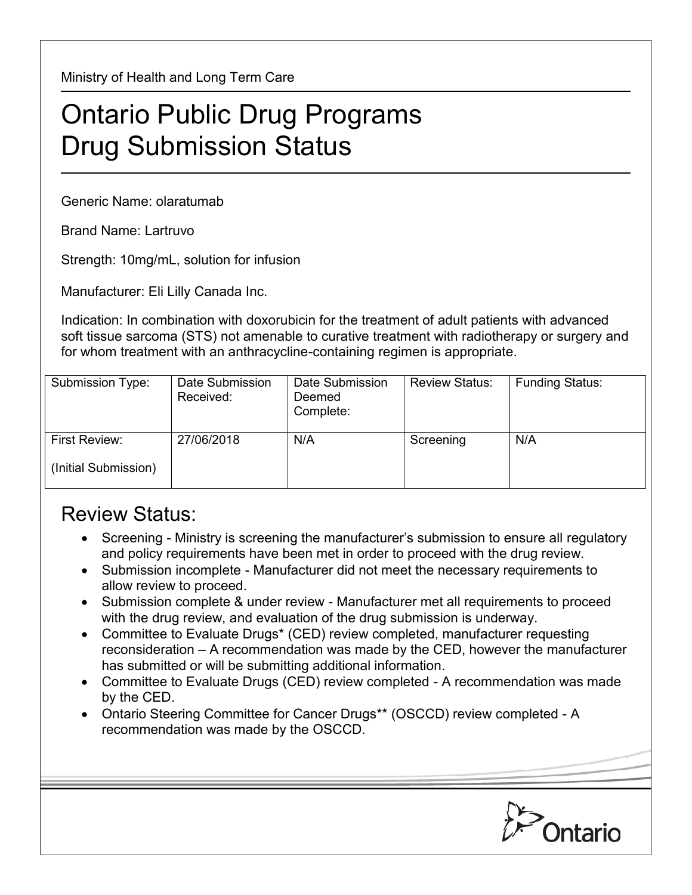Ministry of Health and Long Term Care

## Ontario Public Drug Programs Drug Submission Status

Generic Name: olaratumab

Brand Name: Lartruvo

Strength: 10mg/mL, solution for infusion

Manufacturer: Eli Lilly Canada Inc.

Indication: In combination with doxorubicin for the treatment of adult patients with advanced soft tissue sarcoma (STS) not amenable to curative treatment with radiotherapy or surgery and for whom treatment with an anthracycline-containing regimen is appropriate.

| Submission Type:     | Date Submission<br>Received: | Date Submission<br>Deemed<br>Complete: | <b>Review Status:</b> | <b>Funding Status:</b> |
|----------------------|------------------------------|----------------------------------------|-----------------------|------------------------|
| First Review:        | 27/06/2018                   | N/A                                    | Screening             | N/A                    |
| (Initial Submission) |                              |                                        |                       |                        |

## Review Status:

- Screening Ministry is screening the manufacturer's submission to ensure all regulatory and policy requirements have been met in order to proceed with the drug review.
- Submission incomplete Manufacturer did not meet the necessary requirements to allow review to proceed.
- Submission complete & under review Manufacturer met all requirements to proceed with the drug review, and evaluation of the drug submission is underway.
- Committee to Evaluate Drugs\* (CED) review completed, manufacturer requesting reconsideration – A recommendation was made by the CED, however the manufacturer has submitted or will be submitting additional information.
- Committee to Evaluate Drugs (CED) review completed A recommendation was made by the CED.
- Ontario Steering Committee for Cancer Drugs\*\* (OSCCD) review completed A recommendation was made by the OSCCD.